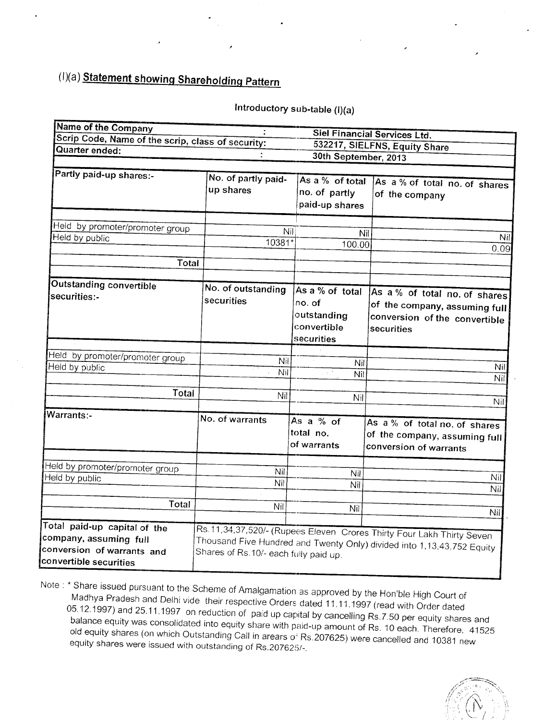## (I)(a) Statement showing Shareholding Pattern

## Introductory sub-table (I)(a)

| Name of the Company                                                                                            |                                        |                                                                       | Siel Financial Services Ltd.                                                                                                                    |
|----------------------------------------------------------------------------------------------------------------|----------------------------------------|-----------------------------------------------------------------------|-------------------------------------------------------------------------------------------------------------------------------------------------|
| Scrip Code, Name of the scrip, class of security:                                                              |                                        |                                                                       | 532217, SIELFNS, Equity Share                                                                                                                   |
| Quarter ended:                                                                                                 |                                        | 30th September, 2013                                                  |                                                                                                                                                 |
|                                                                                                                |                                        |                                                                       |                                                                                                                                                 |
| Partly paid-up shares:-                                                                                        | No. of partly paid-<br>up shares       | As a % of total<br>no. of partly<br>paid-up shares                    | As a % of total no. of shares<br>of the company                                                                                                 |
| Held by promoter/promoter group                                                                                |                                        |                                                                       |                                                                                                                                                 |
| Held by public                                                                                                 | Nil<br>10381*                          | Nil<br>100.00                                                         | Nil<br>0.09                                                                                                                                     |
| <b>Total</b>                                                                                                   |                                        |                                                                       |                                                                                                                                                 |
| Outstanding convertible<br>securities:-                                                                        | No. of outstanding<br>securities       | As a % of total<br>no. of<br>outstanding<br>convertible<br>securities | As a % of total no. of shares<br>of the company, assuming full<br>conversion of the convertible<br>securities                                   |
| Held by promoter/promoter group<br>Held by public                                                              | Nil<br>Nil                             | Nil<br>$\mu \propto \lambda^2$<br>Nil                                 | Nil<br>Nil                                                                                                                                      |
| Total                                                                                                          | Nil                                    | Nil                                                                   | Nil                                                                                                                                             |
| Warrants:-                                                                                                     | No. of warrants                        | As a % of<br>total no.<br>of warrants                                 | As a % of total no. of shares<br>of the company, assuming full<br>conversion of warrants                                                        |
| Held by promoter/promoter group<br>Held by public                                                              | Nil<br>Nil                             | Nil<br>Nil                                                            | Nil                                                                                                                                             |
| Total                                                                                                          | Nil                                    | Nil                                                                   | Nil<br>Nil                                                                                                                                      |
| Total paid-up capital of the<br>company, assuming full<br>conversion of warrants and<br>convertible securities | Shares of Rs. 10/- each fully paid up. |                                                                       | Rs.11,34,37,520/- (Rupees Eleven Crores Thirty Four Lakh Thirty Seven<br>Thousand Five Hundred and Twenty Only) divided into 1,13,43,752 Equity |

Note : \* Share issued pursuant to the Scheme of Amalgamation as approved by the Hon'ble High Court of Madhya Pradesh and Delhi vide their respective Orders dated 11.11.1997 (read with Order dated 05.12.1997) and 25.11.1997 on reduction of paid up capital by cancelling Rs.7.50 per equity shares and balance equity was consolidated into equity share with paid-up amount of Rs. 10 each. Therefore, 41525 old equity shares (on which Outstanding Call in arears of Rs. 207625) were cancelled and 10381 new equity shares were issued with outstanding of Rs.207625/-.

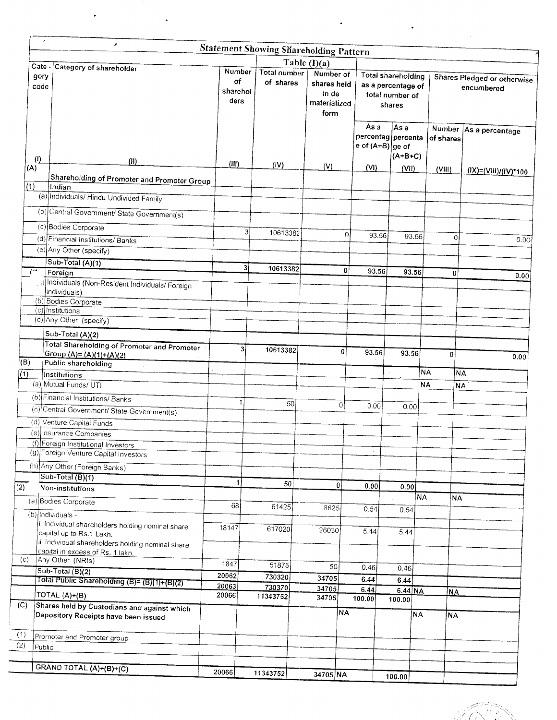|              |                                                                               |                        |                                     |                  | <b>Statement Showing Shareholding Pattern</b>                               |                |                |                                                                              |           |           |                                           |
|--------------|-------------------------------------------------------------------------------|------------------------|-------------------------------------|------------------|-----------------------------------------------------------------------------|----------------|----------------|------------------------------------------------------------------------------|-----------|-----------|-------------------------------------------|
| gory<br>code | Cate - Category of shareholder                                                | of<br>sharehol<br>ders | Number<br>Total number<br>of shares |                  | Table $(I)(a)$<br>Number of<br>shares held<br>in de<br>materialized<br>form |                |                | <b>Total shareholding</b><br>as a percentage of<br>total number of<br>shares |           |           | Shares Pledged or otherwise<br>encumbered |
| (1)          | (11)                                                                          |                        |                                     |                  |                                                                             |                | As a           | As a<br>percentag percenta<br>e of (A+B) ge of<br>$(A+B+C)$                  |           | of shares | Number   As a percentage                  |
| (A)          |                                                                               | (III)                  |                                     | (IV)             | (V)                                                                         |                | (VI)           | (VII)                                                                        |           | (VIII)    | (IX)=(VIII)/(IV)*100                      |
|              | Shareholding of Promoter and Promoter Group                                   |                        |                                     |                  |                                                                             |                |                |                                                                              |           |           |                                           |
| (1)          | Indian                                                                        |                        |                                     |                  |                                                                             |                |                |                                                                              |           |           |                                           |
|              | (a) Individuals/ Hindu Undivided Family                                       |                        |                                     |                  |                                                                             |                |                |                                                                              |           |           |                                           |
|              | (b) Central Government/ State Government(s)                                   |                        |                                     |                  |                                                                             |                |                |                                                                              |           |           |                                           |
|              | (c) Bodies Corporate                                                          |                        |                                     |                  |                                                                             |                |                |                                                                              |           |           |                                           |
|              |                                                                               |                        | 3                                   | 10613382         |                                                                             | $\overline{O}$ | 93.56          |                                                                              | 93.56     | 0         |                                           |
|              | (d) Financial Institutions/ Banks                                             |                        |                                     |                  |                                                                             |                |                |                                                                              |           |           | 0.00                                      |
|              | (e) Any Other (specify)                                                       |                        |                                     |                  |                                                                             |                |                |                                                                              |           |           |                                           |
| $\sqrt{2}$   | Sub-Total (A)(1)                                                              |                        | 31                                  | 10613382         |                                                                             | 0              | 93.56          |                                                                              |           |           |                                           |
|              | Foreign                                                                       |                        |                                     |                  |                                                                             |                |                |                                                                              | 93.56     | $\Omega$  | 0.00                                      |
|              | Individuals (Non-Resident Individuals/ Foreign<br>individuals)                |                        |                                     |                  |                                                                             |                |                |                                                                              |           |           |                                           |
|              | (b) Bodies Corporate                                                          |                        |                                     |                  |                                                                             |                |                |                                                                              |           |           |                                           |
|              | (c) Institutions                                                              |                        |                                     |                  |                                                                             |                |                |                                                                              |           |           |                                           |
|              | (d) Any Other (specify)                                                       |                        |                                     |                  |                                                                             |                |                |                                                                              |           |           |                                           |
|              | Sub-Total (A)(2)                                                              |                        |                                     |                  |                                                                             |                |                |                                                                              |           |           |                                           |
|              | Total Shareholding of Promoter and Promoter                                   |                        |                                     |                  |                                                                             |                |                |                                                                              |           |           |                                           |
|              | Group $(A) = (A)(1)+(A)(2)$                                                   |                        | 3                                   | 10613382         |                                                                             | 0              | 93.56          | 93.56                                                                        |           | $\theta$  | 0.00                                      |
| (B)          | Public shareholding                                                           |                        |                                     |                  |                                                                             |                |                |                                                                              |           |           |                                           |
| (1)          | Institutions                                                                  |                        |                                     |                  |                                                                             |                |                | $\mathcal{L}^{(1)}$                                                          | <b>NA</b> |           | NA.                                       |
|              | (a) Mutual Funds/ UTI                                                         |                        |                                     |                  |                                                                             |                |                |                                                                              | <b>NA</b> |           | <b>NA</b>                                 |
|              | (b) Financial Institutions/ Banks                                             | $\mathbf{1}$           |                                     |                  |                                                                             |                |                |                                                                              |           |           |                                           |
|              | (c) Central Government/ State Government(s)                                   |                        |                                     | 50               |                                                                             | 0              | 0.00           | 0.00                                                                         |           |           |                                           |
|              | (d) Venture Capital Funds                                                     |                        |                                     |                  |                                                                             |                |                |                                                                              |           |           |                                           |
|              | (e) Insurance Companies                                                       |                        |                                     |                  |                                                                             |                |                |                                                                              |           |           |                                           |
|              | (f) Foreign Institutional Investors                                           |                        |                                     |                  |                                                                             |                |                |                                                                              |           |           |                                           |
|              | (g) Foreign Venture Capital Investors                                         |                        |                                     |                  |                                                                             |                |                |                                                                              |           |           |                                           |
|              | (h) Any Other (Foreign Banks)                                                 |                        |                                     |                  |                                                                             |                |                |                                                                              |           |           |                                           |
|              | $Sub-Total(B)(1)$                                                             |                        |                                     |                  |                                                                             |                |                |                                                                              |           |           |                                           |
|              | Non-institutions                                                              | $\mathbf{1}$           |                                     | 50               |                                                                             | 0              | 0.00           | 0.00                                                                         |           |           |                                           |
|              |                                                                               |                        |                                     |                  |                                                                             |                |                |                                                                              | NA        | NA        |                                           |
|              | (a) Bodies Corporate                                                          | 68                     |                                     | 61425            | 8625                                                                        |                | 0.54           | 0.54                                                                         |           |           |                                           |
|              | (b) Individuals -                                                             |                        |                                     |                  |                                                                             |                |                |                                                                              |           |           |                                           |
|              | i. Individual shareholders holding nominal share                              | 18147                  |                                     | 617020           | 26030                                                                       |                | 5.44           | 5.44                                                                         |           |           |                                           |
|              | capital up to Rs.1 Lakh.<br>ii. Individual shareholders holding nominal share |                        |                                     |                  |                                                                             |                |                |                                                                              |           |           |                                           |
|              | capital in excess of Rs. 1 lakh.                                              |                        |                                     |                  |                                                                             |                |                |                                                                              |           |           |                                           |
| (c)          | Any Other (NRIs)                                                              | 1847                   |                                     | 51875            |                                                                             |                |                |                                                                              |           |           |                                           |
|              | Sub-Total (B)(2)                                                              | 20062                  |                                     |                  | 50                                                                          |                | 0.46           | 0.46                                                                         |           |           |                                           |
|              | Total Public Shareholding (B)= (B)(1)+(B)(2)                                  | 20063                  |                                     | 730320<br>730370 | 34705                                                                       |                | 6.44           | 6.44                                                                         |           |           |                                           |
|              | TOTAL (A)+(B)                                                                 | 20066                  |                                     | 11343752         | 34705<br>34705                                                              |                | 6.44<br>100.00 | $6.44$ NA                                                                    |           | <u>NA</u> |                                           |
|              | Shares held by Custodians and against which                                   |                        |                                     |                  |                                                                             |                |                | 100.00                                                                       |           |           |                                           |
|              | Depository Receipts have been issued                                          |                        |                                     |                  |                                                                             | NA)            |                |                                                                              | NA)       | <b>NA</b> |                                           |
|              |                                                                               |                        |                                     |                  |                                                                             |                |                |                                                                              |           |           |                                           |
|              | Promoter and Promoter group                                                   |                        |                                     |                  |                                                                             |                |                |                                                                              |           |           |                                           |
| Public       |                                                                               |                        |                                     |                  |                                                                             |                |                |                                                                              |           |           |                                           |
|              |                                                                               |                        |                                     |                  |                                                                             |                |                |                                                                              |           |           |                                           |
|              | GRAND TOTAL (A)+(B)+(C)                                                       | 20066                  |                                     |                  |                                                                             |                |                |                                                                              |           |           |                                           |
|              |                                                                               |                        | 11343752                            |                  | 34705 NA                                                                    |                |                | 100.00                                                                       |           |           |                                           |

.

 $\ddot{\phantom{0}}$ 

 $\cdot$ 

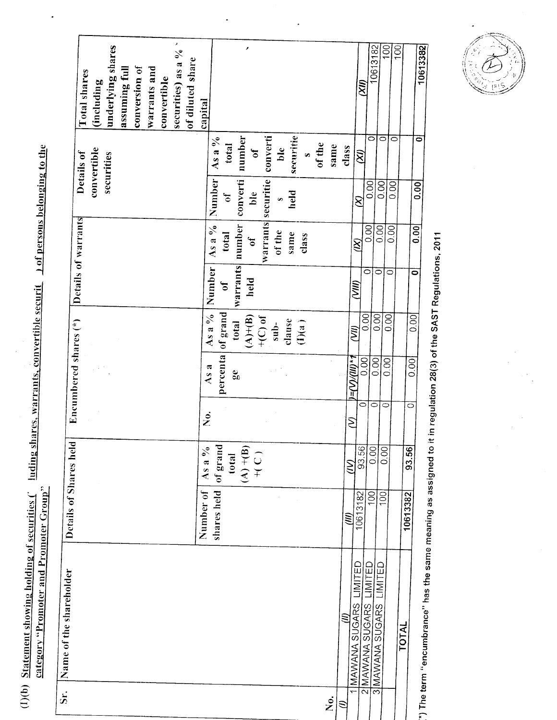(1)(b) Statement showing holding of securities (1 luding shares, warrants, convertible securit 10 of persons belonging to the

 $\bullet$ 

| $\overline{\mathbf{s}}$ : | Name of the shareholder                                         | Details of Shares hel        | $\overline{\mathbf{C}}$                      |                    | Encumbered shares (*)              |                                                                                         | Details of warrants              |                                                                                     |                                                      |                                                                     |                                |
|---------------------------|-----------------------------------------------------------------|------------------------------|----------------------------------------------|--------------------|------------------------------------|-----------------------------------------------------------------------------------------|----------------------------------|-------------------------------------------------------------------------------------|------------------------------------------------------|---------------------------------------------------------------------|--------------------------------|
|                           |                                                                 |                              |                                              |                    |                                    |                                                                                         |                                  |                                                                                     |                                                      | convertible<br>Details of                                           | Total shares                   |
|                           |                                                                 |                              |                                              |                    |                                    |                                                                                         |                                  |                                                                                     |                                                      | securities                                                          | (including                     |
|                           |                                                                 |                              |                                              |                    |                                    |                                                                                         |                                  |                                                                                     |                                                      |                                                                     | underlying shares              |
|                           |                                                                 |                              |                                              |                    |                                    |                                                                                         |                                  |                                                                                     |                                                      |                                                                     | assuming full                  |
|                           |                                                                 |                              |                                              |                    |                                    |                                                                                         |                                  |                                                                                     |                                                      |                                                                     | conversion of                  |
|                           |                                                                 |                              |                                              |                    |                                    |                                                                                         |                                  |                                                                                     |                                                      |                                                                     | <b>Warrants</b> and            |
|                           |                                                                 |                              |                                              |                    |                                    |                                                                                         |                                  |                                                                                     |                                                      |                                                                     | convertible                    |
|                           |                                                                 |                              |                                              |                    |                                    |                                                                                         |                                  |                                                                                     |                                                      |                                                                     | securities) as a $\frac{9}{6}$ |
|                           |                                                                 |                              |                                              |                    |                                    |                                                                                         |                                  |                                                                                     |                                                      |                                                                     | of diluted share               |
|                           |                                                                 | Number of                    | As a $\%$                                    | ż.                 |                                    |                                                                                         |                                  |                                                                                     |                                                      |                                                                     | capital                        |
|                           |                                                                 | shares held                  | of grand<br>$(A) + (B) + (C) + (C)$<br>total |                    | percenta<br>As a<br>$\mathbf{g}_0$ | of grand<br>As a $\%$<br>$(A)+(B)$<br>$+$ (C) of<br>clause<br>(I)(a)<br>$sub-$<br>total | warrants<br>Number<br>held<br>Jo | warrants securitie<br>number<br>As a $\%$<br>of the<br>same<br>total<br>class<br>Jo | Number<br>converti<br>ble<br>held<br>JO<br>$\bullet$ | securitie<br>converti<br>number<br>As a %<br>total<br>ble<br>đ<br>Ø | ø                              |
| ż.                        |                                                                 |                              |                                              |                    |                                    |                                                                                         |                                  |                                                                                     |                                                      | of the<br>same                                                      |                                |
|                           | 1 MAWANA SUGARS LIMITED<br>$\mathcal{E}$                        | (III)                        | S                                            | ξ                  | $(-(10)(0)-1)$                     | <b>SE</b>                                                                               | (NN)                             |                                                                                     |                                                      | class                                                               |                                |
|                           | 2 MAWANA SUGARS LIMITED                                         | $\overline{100}$<br>10613182 | 93.56<br>0.00                                | $\circ$<br>$\circ$ | 0.00                               | 0.00                                                                                    | ō                                | $\overline{0.00}$<br>$\otimes$                                                      | $\overline{0.00}$<br>8                               | ⊂<br>$\mathcal{\widetilde{S}}$                                      | 0613182<br>E)                  |
|                           | LIMITED<br>3 MAWANA SUGARS                                      | 100                          | 0.00                                         | $\circ$            | 0.00<br>0.001                      | 0.00                                                                                    | $\circ$                          | 0.00                                                                                | 0.00                                                 | $\circ$                                                             | 100                            |
|                           |                                                                 |                              |                                              |                    |                                    | 0.00                                                                                    | $\circ$                          | 0.00                                                                                | 0.00                                                 | 0                                                                   | $\overline{100}$               |
|                           | TOTAL                                                           | 10613382                     | 93.56                                        | $\circ$            | 0.001                              | 0.00                                                                                    | 0                                |                                                                                     |                                                      |                                                                     |                                |
|                           | $\tilde{a}^*$ ) The term "encumbrance" has the same $\tilde{a}$ |                              |                                              |                    |                                    |                                                                                         |                                  | 0.00                                                                                | 0.00                                                 | 0                                                                   | 10613382                       |

\*) The term "encumbrance" has the same meaning as assigned to it in regulation 28(3) of the SAST Regulations, 2011

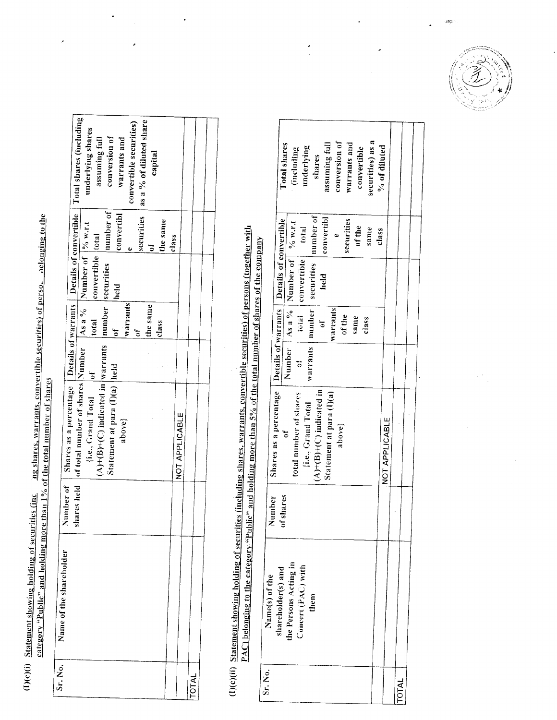(1)(c)(i) Statement showing holding of securities (inc ang shares, warrants, convertible securities) of perso, aelonging to the category "Public" and holding more than 1% of the total number of shares

| Number of Shares as a percentage $\frac{\text{Details of warrans}}{\text{As a } \frac{96}{6}}$ Details of convertible Total shares (including) shares held of total number of shares Number $\frac{\text{As a } \frac{96}{6}}{\text{Number of } \frac{\text{96 w.r.t.}}{\text{Number of } \frac{\text{96 w.r.t.}}{\text{where}}}$ underly<br>as a % of diluted share<br>convertible securities)<br>assuming full<br>conversion of<br>warrants and<br>capital |                |
|--------------------------------------------------------------------------------------------------------------------------------------------------------------------------------------------------------------------------------------------------------------------------------------------------------------------------------------------------------------------------------------------------------------------------------------------------------------|----------------|
| convertibl<br>securities<br>the same<br>class<br>ć                                                                                                                                                                                                                                                                                                                                                                                                           |                |
| number securities number of<br>convertible total<br>held                                                                                                                                                                                                                                                                                                                                                                                                     |                |
| warrants<br>the same<br>total<br>class<br>ð                                                                                                                                                                                                                                                                                                                                                                                                                  |                |
|                                                                                                                                                                                                                                                                                                                                                                                                                                                              |                |
| $(A)+(B)+(C)$ indicated in  warrants<br>Statement at para (I)(a) held<br>$\{i.e., Grand Total$   of<br>above}                                                                                                                                                                                                                                                                                                                                                | NOT APPLICABLE |
|                                                                                                                                                                                                                                                                                                                                                                                                                                                              |                |
| Name of the shareholder                                                                                                                                                                                                                                                                                                                                                                                                                                      |                |
| Sr. No.                                                                                                                                                                                                                                                                                                                                                                                                                                                      | <b>INTOT</b>   |

(1)(c)(ii) Statement showing holding of securities (including shares, warrants, convertible securities) of persons (together with PAC) belonging to the category "Public" and holding more than 5% of the total number of shares of the company

|         |                | <b>Total shares</b>                                                           | (including                              | underlying                | shares                          | assuming full      | conversion of                      | warrants and | convertible | securities) as a | % of diluted |                |              |  |
|---------|----------------|-------------------------------------------------------------------------------|-----------------------------------------|---------------------------|---------------------------------|--------------------|------------------------------------|--------------|-------------|------------------|--------------|----------------|--------------|--|
|         |                |                                                                               |                                         | total<br>convertible      | number   securities   number of | convertibl<br>held |                                    | securities   | of the      | same             | class        |                |              |  |
|         |                |                                                                               | Number   As a %   Number of $ $ % w.r.t | total<br>7                | warrants                        | óť                 | <b>Warrants</b>                    | of the       | same        | class            |              |                |              |  |
|         |                | Shares as a percentage <b>Details of warrants Details of convertible</b><br>t | total number of shares                  | {i.e., Grand Total        | $(A)+(B)+(C)$ indicated in      |                    | Statement at para (I)(a)<br>above} |              |             |                  |              | NOT APPLICABLE |              |  |
|         | Number         | of shares                                                                     |                                         |                           |                                 |                    |                                    |              |             |                  |              |                |              |  |
|         | Name(s) of the | shareholder(s) and                                                            | the Persons Acting in                   | $\text{Coucer}(PAC)$ with | them                            |                    |                                    |              |             |                  |              |                |              |  |
| Sr. No. |                |                                                                               |                                         |                           |                                 |                    |                                    |              |             |                  |              |                | <b>IAI</b> O |  |

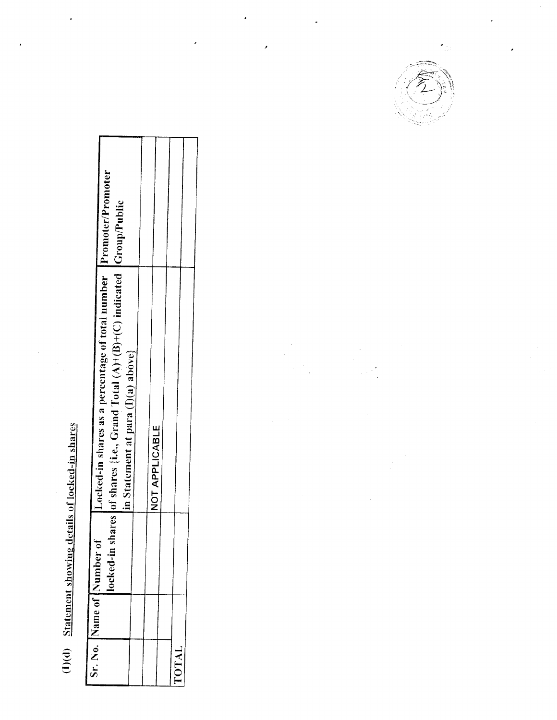## (I)(d) Statement showing details of locked-in shares

Ļ

| ocked-in shares as a percentage of total number [Promoter/Promoter<br>rares of shares {i.e., Grand Total $(A)+(B)+(C)$ indicated $ Group/Public$<br>[in Statement at para (I)(a) above} | <b>NOT APPLICABLE</b> |              |
|-----------------------------------------------------------------------------------------------------------------------------------------------------------------------------------------|-----------------------|--------------|
| locked-in sh                                                                                                                                                                            |                       |              |
| Sr. No. IName of INumber of                                                                                                                                                             |                       | <b>LOTAL</b> |

j